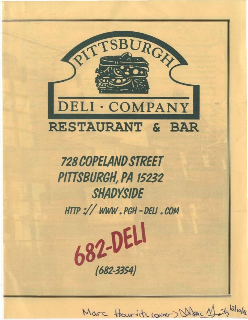

**728 COPELAND STREET** PITTSBURGH, PA 15232 **SHADYSIDE** HTTP :// WWW.PGH-DELI.COM

682-DELI

 $(682 - 3354)$ 

Marc Houriste (ouver) When Months Wolfe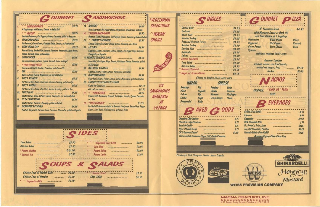|     | OURMET                                                                         |          |
|-----|--------------------------------------------------------------------------------|----------|
| ı.  | A Veggieburger with Lettuce, Tomato, on Belke Roll                             | \$4.95   |
| 2   |                                                                                | \$4.95   |
|     | Sautéed Mushreems, Red Peppers, Onions, Provolence, grilled on Baquette        |          |
| 孓   | YOUGONNALIKEIT                                                                 | \$5.95   |
|     | Hat Pastrami, Cream Cheese, Bermude Onion, Lettuce, on Pumpernickel            |          |
| 4.  | EVAN-NOSH-DAY                                                                  | \$5.95   |
|     | Roastod Turkey, Smokod Ham, Lettuce, Provolone, Horseradisk, Spisy Brown,      |          |
|     | Tomato, Bermada Onion, on Sourdough                                            |          |
| 5.  |                                                                                | \$6.95   |
|     | Lax, Cream Cheese, Lettuce, Tomato, Bermuda Onios, on Bogel                    |          |
| 6.  | <i>* PEPE'S PITA PIZZA</i><br>--------------------------                       | \$3.95   |
|     | Vegetarian Chili with Cheddae, Provolone, grilled on a Pita                    |          |
| 7.  |                                                                                | \$3.95   |
|     | Bacon, Lettuce, Tomato, Mayonnaise, on toasted Challah                         |          |
| å.  |                                                                                | \$6.25   |
|     | Hot Carned Beef, Swiss, Sauerkraut, Russian Dressing, grilled on Rye.          |          |
| 9.  | PDC'S RACHEL <i>Administration</i>                                             | \$6.25\$ |
|     | Hot Carned Beef, Swiss, Cole Slaw, Russian Dressing, grilled on Rye            |          |
| 10. | <b>PDC'S CLUB</b><br>,,,,,,,,,,,,,,,,,,,,,,,,,,,,,,,,,,                        | \$4.95   |
|     | Smoked Turkey, Becon, Lettuce, Tomato, Mayonnaise, on toasted Challah          |          |
| 11. | IT'S A 'BIRD THING<br>                                                         | \$5.95   |
|     | Smoked Turkey, Muenster, Heneyeup, grilled on Challah                          |          |
| 12. | <b>GRANDMA'S KITCHEN</b><br>-------------------------                          | \$4.95   |
|     | Meathall Hosaie with Marinary Sauce, Parmesso, Mozzarello, arilled on Banuette |          |

|     | <b>ANDWICHES</b>                                                                                                                     |        |
|-----|--------------------------------------------------------------------------------------------------------------------------------------|--------|
|     |                                                                                                                                      | \$6.25 |
|     | Rere Raast Beef, Hat Pepper Cheese, Mayannaise, Spicy Brown, on Bolke                                                                |        |
| 樟   | * FLYING GARBANZOS<br>----------------------                                                                                         | \$5.50 |
|     | Hummus, Souteed Mushrooms, Red Peppers, Onions, Mueaster, grilled on Challoh                                                         |        |
| 15. | <b>SHAPPY'S GOBBLER</b>                                                                                                              | \$5.95 |
|     | Smoked Tarkey, Hot Pepper Choese, Lettuce, Honeycup, on 6 Grain                                                                      |        |
| 16. | <b>UL'ITALY</b>                                                                                                                      | \$4.95 |
|     | Cappicola, Salami, Provolane, Lettace, Tamato, Hot Pepper Rings, Balsomic                                                            |        |
|     | Vinaigratta, on Baguette                                                                                                             |        |
|     | <b>17. HENNE'S TIJUANA TUNA</b>                                                                                                      | \$4.95 |
|     | Tuas Salad, Hot Peoper Rings, Temato, Hot Peoper Cheese, Haneyoup, grilled                                                           |        |
|     | on Sour Dough                                                                                                                        |        |
| 18. | <b>WELCOME WAGNER</b><br>----------------------------                                                                                | \$5.95 |
|     | Pepperad Roasted Turkey, Lettuce, Maynonaise, an Challah                                                                             |        |
| 19. | CHRISSANDWICH<br>                                                                                                                    | \$5.95 |
|     | Roast Beef, Roosted Turkey, Lettuce, Onion, Mayonnaise, grilled on Challah                                                           |        |
|     | <b>20. FORBES FIELD FANTASY FRANK</b>                                                                                                |        |
|     |                                                                                                                                      |        |
|     |                                                                                                                                      |        |
| 21. | * SPACYSTACY<br>-----------------------------                                                                                        | \$3.95 |
|     | Hommus With Mushrooms, Broccoll, Red Pepper, Tamato, Sprouts, Cocumber,<br>on a Pita                                                 |        |
| 22. | * PDC'S FUNGUY<br>                                                                                                                   | SS.95  |
|     | Partabella Mushroom marinated in Balsamic Vinaigrette, Roasted Red Pepper,<br>Chevre, Fresh Basil, Alfalfa Sprouts, grilled on Bolke |        |

|                                                            |            | <i><b>IDES</b></i> |                     |                               |        |
|------------------------------------------------------------|------------|--------------------|---------------------|-------------------------------|--------|
| <b>Tuna Salad</b><br>,,,,,,,,,,,,,,,,,,,,,,,,,,,,,,,,,,,,, | \$3.50     | まい                 | Vegetable Cous Cous | --------------                | \$0.95 |
| Chicken Salad<br>******************************            | \$3.50     |                    | Cole Slaw           | ,,,,,,,,,,,,,,,,,,,,,,,,,,,,  | \$0.95 |
| * Potato Knishes<br>**************************             | 2/51.50    | ×                  | Potato Salad        | ************************      | \$0.95 |
| * Spinach Pie<br>*******************************           | \$2.50     | ÷                  | Potato Latke        |                               | \$1.50 |
| <b>COUPS</b>                                               |            |                    |                     | & CALADS                      |        |
| Chicken Soup w/ Matzon Balls                               | \$2.50<br> |                    | Garden Salad        | ************************      | \$3.50 |
| Chicken Soup w/ Noodles<br>**************                  | \$2.50     |                    | Chef Salad          | ***************************** | \$4.50 |



Pittsburgh Deli Company thanks these friends:



**Swier** 

Chevre